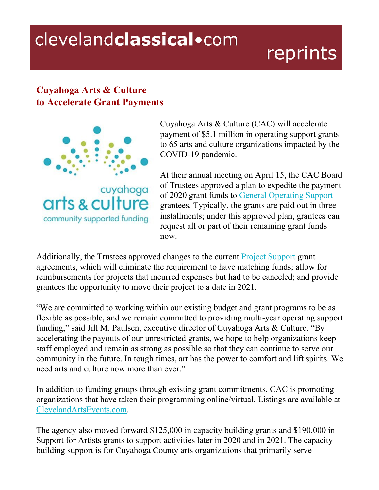## clevelandclassical.com

## reprints

## **Cuyahoga Arts & Culture to Accelerate Grant Payments**



Cuyahoga Arts & Culture (CAC) will accelerate payment of \$5.1 million in operating support grants to 65 arts and culture organizations impacted by the COVID-19 pandemic.

At their annual meeting on April 15, the CAC Board of Trustees approved a plan to expedite the payment of 2020 grant funds t[o](https://www.cacgrants.org/impact/who-we-support/general-operating-support-2020-21/) General [Operating](https://www.cacgrants.org/impact/who-we-support/general-operating-support-2020-21/) Support grantees. Typically, the grants are paid out in three installments; under this approved plan, grantees can request all or part of their remaining grant funds now.

Additionally, the Trustees approved changes to the curren[t](https://www.cacgrants.org/impact/who-we-support/project-support-2020/) Project [Support](https://www.cacgrants.org/impact/who-we-support/project-support-2020/) grant agreements, which will eliminate the requirement to have matching funds; allow for reimbursements for projects that incurred expenses but had to be canceled; and provide grantees the opportunity to move their project to a date in 2021.

"We are committed to working within our existing budget and grant programs to be as flexible as possible, and we remain committed to providing multi-year operating support funding," said Jill M. Paulsen, executive director of Cuyahoga Arts & Culture. "By accelerating the payouts of our unrestricted grants, we hope to help organizations keep staff employed and remain as strong as possible so that they can continue to serve our community in the future. In tough times, art has the power to comfort and lift spirits. We need arts and culture now more than ever."

In addition to funding groups through existing grant commitments, CAC is promoting organizations that have taken their programming online/virtual. Listings are available at [ClevelandArtsEvents.com.](https://www.clevelandartsevents.com/)

The agency also moved forward \$125,000 in capacity building grants and \$190,000 in Support for Artists grants to support activities later in 2020 and in 2021. The capacity building support is for Cuyahoga County arts organizations that primarily serve